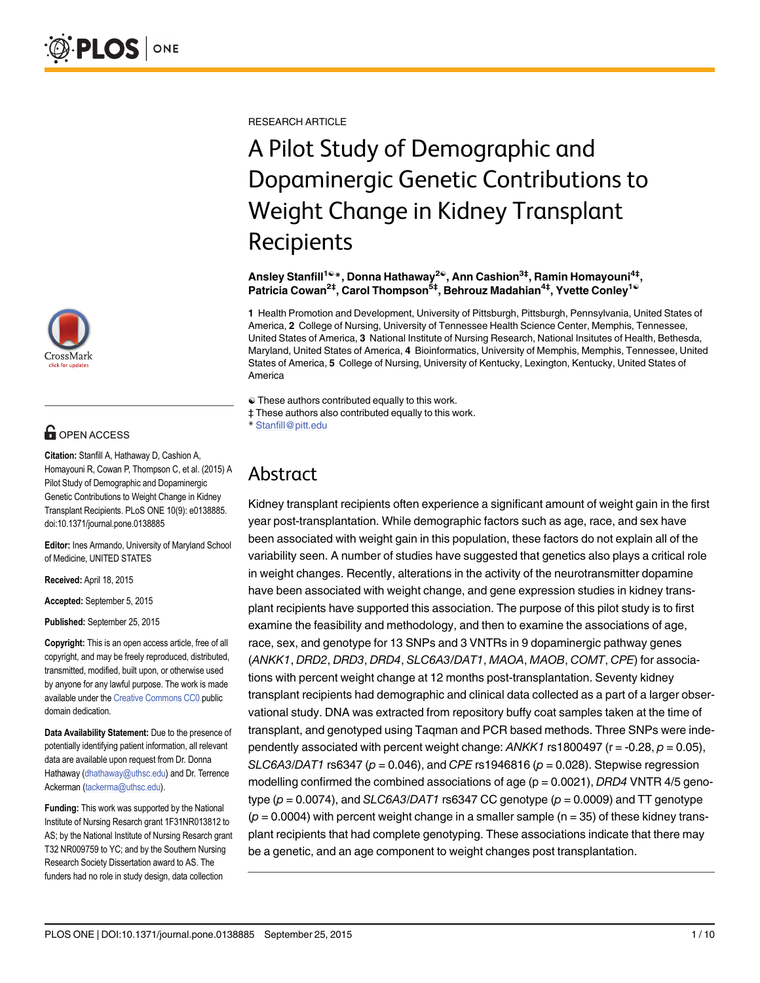

## **OPEN ACCESS**

Citation: Stanfill A, Hathaway D, Cashion A, Homayouni R, Cowan P, Thompson C, et al. (2015) A Pilot Study of Demographic and Dopaminergic Genetic Contributions to Weight Change in Kidney Transplant Recipients. PLoS ONE 10(9): e0138885. doi:10.1371/journal.pone.0138885

Editor: Ines Armando, University of Maryland School of Medicine, UNITED STATES

Received: April 18, 2015

Accepted: September 5, 2015

Published: September 25, 2015

Copyright: This is an open access article, free of all copyright, and may be freely reproduced, distributed, transmitted, modified, built upon, or otherwise used by anyone for any lawful purpose. The work is made available under the [Creative Commons CC0](https://creativecommons.org/publicdomain/zero/1.0/) public domain dedication.

Data Availability Statement: Due to the presence of potentially identifying patient information, all relevant data are available upon request from Dr. Donna Hathaway (dhathaway@uthsc.edu) and Dr. Terrence Ackerman (tackerma@uthsc.edu).

Funding: This work was supported by the National Institute of Nursing Resarch grant 1F31NR013812 to AS; by the National Institute of Nursing Resarch grant T32 NR009759 to YC; and by the Southern Nursing Research Society Dissertation award to AS. The funders had no role in study design, data collection

RESEARCH ARTICLE

# A Pilot Study of Demographic and Dopaminergic Genetic Contributions to Weight Change in Kidney Transplant Recipients

Ansley Stanfill<sup>1ଢ</sup>\*, Donna Hathaway<sup>2ଢ</sup>, Ann Cashion<sup>3‡</sup>, Ramin Homayouni<sup>4‡</sup>, Patricia Cowan<sup>2‡</sup>, Carol Thompson<sup>5‡</sup>, Behrouz Madahian<sup>4‡</sup>, Yvette Conley<sup>1€</sup>

1 Health Promotion and Development, University of Pittsburgh, Pittsburgh, Pennsylvania, United States of America, 2 College of Nursing, University of Tennessee Health Science Center, Memphis, Tennessee, United States of America, 3 National Institute of Nursing Research, National Insitutes of Health, Bethesda, Maryland, United States of America, 4 Bioinformatics, University of Memphis, Memphis, Tennessee, United States of America, 5 College of Nursing, University of Kentucky, Lexington, Kentucky, United States of America

☯ These authors contributed equally to this work.

‡ These authors also contributed equally to this work.

\* Stanfill@pitt.edu

## Abstract

Kidney transplant recipients often experience a significant amount of weight gain in the first year post-transplantation. While demographic factors such as age, race, and sex have been associated with weight gain in this population, these factors do not explain all of the variability seen. A number of studies have suggested that genetics also plays a critical role in weight changes. Recently, alterations in the activity of the neurotransmitter dopamine have been associated with weight change, and gene expression studies in kidney transplant recipients have supported this association. The purpose of this pilot study is to first examine the feasibility and methodology, and then to examine the associations of age, race, sex, and genotype for 13 SNPs and 3 VNTRs in 9 dopaminergic pathway genes (ANKK1, DRD2, DRD3, DRD4, SLC6A3/DAT1, MAOA, MAOB, COMT, CPE) for associations with percent weight change at 12 months post-transplantation. Seventy kidney transplant recipients had demographic and clinical data collected as a part of a larger observational study. DNA was extracted from repository buffy coat samples taken at the time of transplant, and genotyped using Taqman and PCR based methods. Three SNPs were independently associated with percent weight change:  $ANKK1$  rs1800497 ( $r = -0.28$ ,  $p = 0.05$ ), SLC6A3/DAT1 rs6347 ( $p = 0.046$ ), and CPE rs1946816 ( $p = 0.028$ ). Stepwise regression modelling confirmed the combined associations of age  $(p = 0.0021)$ , DRD4 VNTR 4/5 genotype ( $p = 0.0074$ ), and SLC6A3/DAT1 rs6347 CC genotype ( $p = 0.0009$ ) and TT genotype  $(p = 0.0004)$  with percent weight change in a smaller sample (n = 35) of these kidney transplant recipients that had complete genotyping. These associations indicate that there may be a genetic, and an age component to weight changes post transplantation.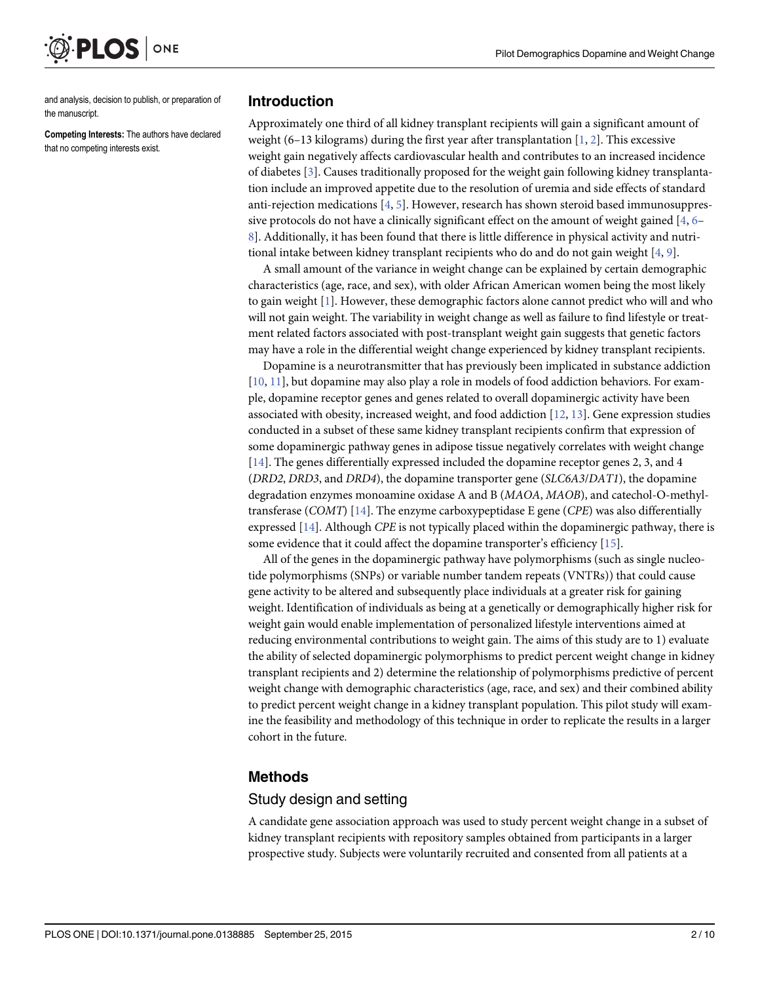and analysis, decision to publish, or preparation of the manuscript.

ONE

<span id="page-1-0"></span>**PLOS**I

Competing Interests: The authors have declared that no competing interests exist.

## Introduction

Approximately one third of all kidney transplant recipients will gain a significant amount of weight (6–[1](#page-8-0)3 kilograms) during the first year after transplantation  $[1, 2]$  $[1, 2]$ . This excessive weight gain negatively affects cardiovascular health and contributes to an increased incidence of diabetes [[3\]](#page-8-0). Causes traditionally proposed for the weight gain following kidney transplantation include an improved appetite due to the resolution of uremia and side effects of standard anti-rejection medications [[4,](#page-8-0) [5\]](#page-8-0). However, research has shown steroid based immunosuppressive protocols do not have a clinically significant effect on the amount of weight gained  $[4, 6 [4, 6 [4, 6 [4, 6-$ [8\]](#page-9-0). Additionally, it has been found that there is little difference in physical activity and nutritional intake between kidney transplant recipients who do and do not gain weight  $[4, 9]$  $[4, 9]$  $[4, 9]$  $[4, 9]$ .

A small amount of the variance in weight change can be explained by certain demographic characteristics (age, race, and sex), with older African American women being the most likely to gain weight [[1](#page-8-0)]. However, these demographic factors alone cannot predict who will and who will not gain weight. The variability in weight change as well as failure to find lifestyle or treatment related factors associated with post-transplant weight gain suggests that genetic factors may have a role in the differential weight change experienced by kidney transplant recipients.

Dopamine is a neurotransmitter that has previously been implicated in substance addiction [\[10](#page-9-0), [11\]](#page-9-0), but dopamine may also play a role in models of food addiction behaviors. For example, dopamine receptor genes and genes related to overall dopaminergic activity have been associated with obesity, increased weight, and food addiction  $[12, 13]$  $[12, 13]$  $[12, 13]$ . Gene expression studies conducted in a subset of these same kidney transplant recipients confirm that expression of some dopaminergic pathway genes in adipose tissue negatively correlates with weight change [\[14](#page-9-0)]. The genes differentially expressed included the dopamine receptor genes 2, 3, and 4 (DRD2, DRD3, and DRD4), the dopamine transporter gene (SLC6A3/DAT1), the dopamine degradation enzymes monoamine oxidase A and B (MAOA, MAOB), and catechol-O-methyl-transferase (COMT) [[14](#page-9-0)]. The enzyme carboxypeptidase E gene (CPE) was also differentially expressed  $[14]$ . Although CPE is not typically placed within the dopaminergic pathway, there is some evidence that it could affect the dopamine transporter's efficiency [\[15\]](#page-9-0).

All of the genes in the dopaminergic pathway have polymorphisms (such as single nucleotide polymorphisms (SNPs) or variable number tandem repeats (VNTRs)) that could cause gene activity to be altered and subsequently place individuals at a greater risk for gaining weight. Identification of individuals as being at a genetically or demographically higher risk for weight gain would enable implementation of personalized lifestyle interventions aimed at reducing environmental contributions to weight gain. The aims of this study are to 1) evaluate the ability of selected dopaminergic polymorphisms to predict percent weight change in kidney transplant recipients and 2) determine the relationship of polymorphisms predictive of percent weight change with demographic characteristics (age, race, and sex) and their combined ability to predict percent weight change in a kidney transplant population. This pilot study will examine the feasibility and methodology of this technique in order to replicate the results in a larger cohort in the future.

## Methods

## Study design and setting

A candidate gene association approach was used to study percent weight change in a subset of kidney transplant recipients with repository samples obtained from participants in a larger prospective study. Subjects were voluntarily recruited and consented from all patients at a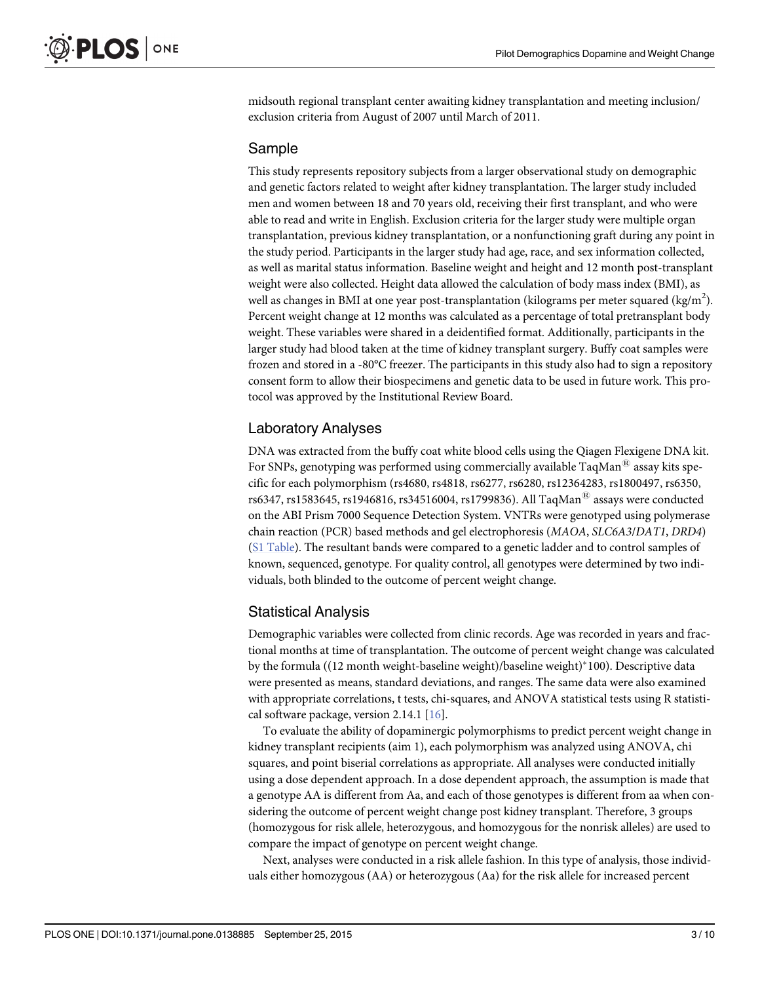<span id="page-2-0"></span>midsouth regional transplant center awaiting kidney transplantation and meeting inclusion/ exclusion criteria from August of 2007 until March of 2011.

## Sample

This study represents repository subjects from a larger observational study on demographic and genetic factors related to weight after kidney transplantation. The larger study included men and women between 18 and 70 years old, receiving their first transplant, and who were able to read and write in English. Exclusion criteria for the larger study were multiple organ transplantation, previous kidney transplantation, or a nonfunctioning graft during any point in the study period. Participants in the larger study had age, race, and sex information collected, as well as marital status information. Baseline weight and height and 12 month post-transplant weight were also collected. Height data allowed the calculation of body mass index (BMI), as well as changes in BMI at one year post-transplantation (kilograms per meter squared (kg/m<sup>2</sup>). Percent weight change at 12 months was calculated as a percentage of total pretransplant body weight. These variables were shared in a deidentified format. Additionally, participants in the larger study had blood taken at the time of kidney transplant surgery. Buffy coat samples were frozen and stored in a -80°C freezer. The participants in this study also had to sign a repository consent form to allow their biospecimens and genetic data to be used in future work. This protocol was approved by the Institutional Review Board.

## Laboratory Analyses

DNA was extracted from the buffy coat white blood cells using the Qiagen Flexigene DNA kit. For SNPs, genotyping was performed using commercially available TaqMan<sup>®</sup> assay kits specific for each polymorphism (rs4680, rs4818, rs6277, rs6280, rs12364283, rs1800497, rs6350, rs6347, rs1583645, rs1946816, rs34516004, rs1799836). All TaqMan<sup>®</sup> assays were conducted on the ABI Prism 7000 Sequence Detection System. VNTRs were genotyped using polymerase chain reaction (PCR) based methods and gel electrophoresis (MAOA, SLC6A3/DAT1, DRD4) [\(S1 Table](#page-8-0)). The resultant bands were compared to a genetic ladder and to control samples of known, sequenced, genotype. For quality control, all genotypes were determined by two individuals, both blinded to the outcome of percent weight change.

## Statistical Analysis

Demographic variables were collected from clinic records. Age was recorded in years and fractional months at time of transplantation. The outcome of percent weight change was calculated by the formula ((12 month weight-baseline weight)/baseline weight)\*100). Descriptive data were presented as means, standard deviations, and ranges. The same data were also examined with appropriate correlations, t tests, chi-squares, and ANOVA statistical tests using R statistical software package, version 2.14.1 [[16](#page-9-0)].

To evaluate the ability of dopaminergic polymorphisms to predict percent weight change in kidney transplant recipients (aim 1), each polymorphism was analyzed using ANOVA, chi squares, and point biserial correlations as appropriate. All analyses were conducted initially using a dose dependent approach. In a dose dependent approach, the assumption is made that a genotype AA is different from Aa, and each of those genotypes is different from aa when considering the outcome of percent weight change post kidney transplant. Therefore, 3 groups (homozygous for risk allele, heterozygous, and homozygous for the nonrisk alleles) are used to compare the impact of genotype on percent weight change.

Next, analyses were conducted in a risk allele fashion. In this type of analysis, those individuals either homozygous (AA) or heterozygous (Aa) for the risk allele for increased percent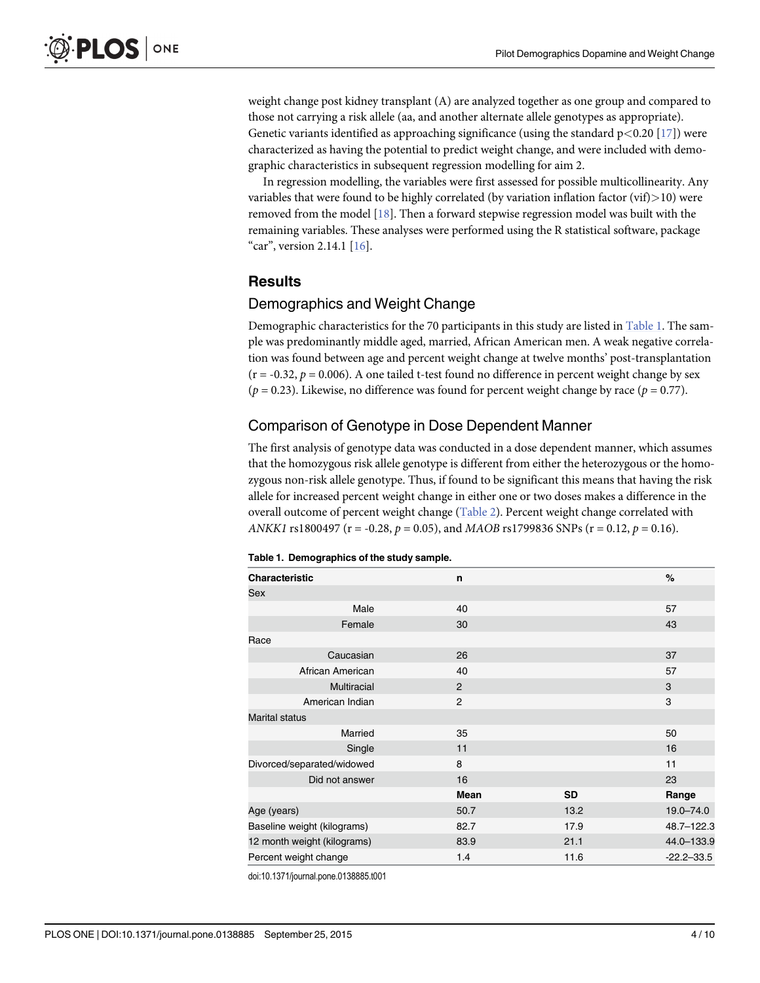<span id="page-3-0"></span>weight change post kidney transplant (A) are analyzed together as one group and compared to those not carrying a risk allele (aa, and another alternate allele genotypes as appropriate). Genetic variants identified as approaching significance (using the standard  $p<0.20$  [\[17\]](#page-9-0)) were characterized as having the potential to predict weight change, and were included with demographic characteristics in subsequent regression modelling for aim 2.

In regression modelling, the variables were first assessed for possible multicollinearity. Any variables that were found to be highly correlated (by variation inflation factor (vif) $>$ 10) were removed from the model [\[18](#page-9-0)]. Then a forward stepwise regression model was built with the remaining variables. These analyses were performed using the R statistical software, package "car", version  $2.14.1$   $[16]$ .

## **Results**

## Demographics and Weight Change

Demographic characteristics for the 70 participants in this study are listed in Table 1. The sample was predominantly middle aged, married, African American men. A weak negative correlation was found between age and percent weight change at twelve months' post-transplantation  $(r = -0.32, p = 0.006)$ . A one tailed t-test found no difference in percent weight change by sex ( $p = 0.23$ ). Likewise, no difference was found for percent weight change by race ( $p = 0.77$ ).

## Comparison of Genotype in Dose Dependent Manner

The first analysis of genotype data was conducted in a dose dependent manner, which assumes that the homozygous risk allele genotype is different from either the heterozygous or the homozygous non-risk allele genotype. Thus, if found to be significant this means that having the risk allele for increased percent weight change in either one or two doses makes a difference in the overall outcome of percent weight change [\(Table 2\)](#page-4-0). Percent weight change correlated with ANKK1 rs1800497 (r = -0.28,  $p = 0.05$ ), and MAOB rs1799836 SNPs (r = 0.12,  $p = 0.16$ ).

| <b>Characteristic</b>       | n              |           | $\%$           |
|-----------------------------|----------------|-----------|----------------|
| Sex                         |                |           |                |
| Male                        | 40             |           | 57             |
| Female                      | 30             |           | 43             |
| Race                        |                |           |                |
| Caucasian                   | 26             |           | 37             |
| African American            | 40             |           | 57             |
| Multiracial                 | $\overline{2}$ |           | 3              |
| American Indian             | $\overline{2}$ |           | 3              |
| <b>Marital status</b>       |                |           |                |
| Married                     | 35             |           | 50             |
| Single                      | 11             |           | 16             |
| Divorced/separated/widowed  | 8              |           | 11             |
| Did not answer              | 16             |           | 23             |
|                             | <b>Mean</b>    | <b>SD</b> | Range          |
| Age (years)                 | 50.7           | 13.2      | 19.0-74.0      |
| Baseline weight (kilograms) | 82.7           | 17.9      | 48.7-122.3     |
| 12 month weight (kilograms) | 83.9           | 21.1      | 44.0-133.9     |
| Percent weight change       | 1.4            | 11.6      | $-22.2 - 33.5$ |

doi:10.1371/journal.pone.0138885.t001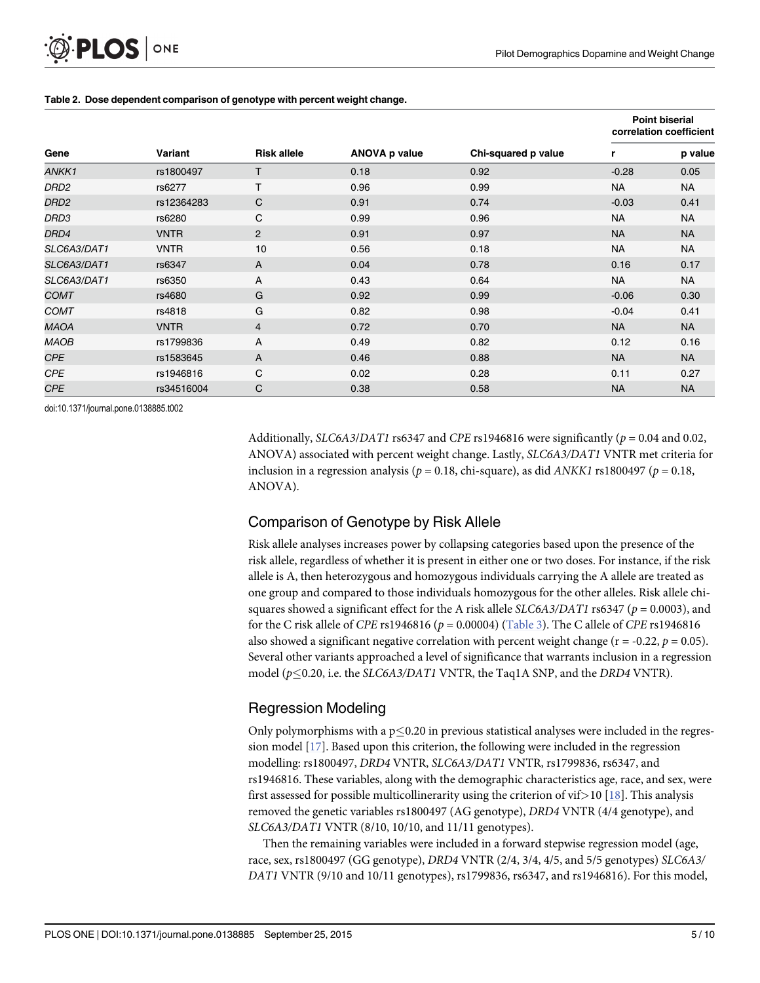<span id="page-4-0"></span>

#### [Table 2.](#page-3-0) Dose dependent comparison of genotype with percent weight change.

| Gene             |             | <b>Risk allele</b> | ANOVA p value | Chi-squared p value | <b>Point biserial</b><br>correlation coefficient |           |
|------------------|-------------|--------------------|---------------|---------------------|--------------------------------------------------|-----------|
|                  | Variant     |                    |               |                     | r                                                | p value   |
| ANKK1            | rs1800497   | T.                 | 0.18          | 0.92                | $-0.28$                                          | 0.05      |
| DRD <sub>2</sub> | rs6277      | T                  | 0.96          | 0.99                | <b>NA</b>                                        | <b>NA</b> |
| DRD <sub>2</sub> | rs12364283  | $\mathsf{C}$       | 0.91          | 0.74                | $-0.03$                                          | 0.41      |
| DRD3             | rs6280      | C                  | 0.99          | 0.96                | <b>NA</b>                                        | <b>NA</b> |
| DRD4             | <b>VNTR</b> | $\overline{2}$     | 0.91          | 0.97                | <b>NA</b>                                        | <b>NA</b> |
| SLC6A3/DAT1      | <b>VNTR</b> | 10                 | 0.56          | 0.18                | <b>NA</b>                                        | <b>NA</b> |
| SLC6A3/DAT1      | rs6347      | $\mathsf{A}$       | 0.04          | 0.78                | 0.16                                             | 0.17      |
| SLC6A3/DAT1      | rs6350      | A                  | 0.43          | 0.64                | <b>NA</b>                                        | <b>NA</b> |
| <b>COMT</b>      | rs4680      | G                  | 0.92          | 0.99                | $-0.06$                                          | 0.30      |
| <b>COMT</b>      | rs4818      | G                  | 0.82          | 0.98                | $-0.04$                                          | 0.41      |
| <b>MAOA</b>      | <b>VNTR</b> | $\overline{4}$     | 0.72          | 0.70                | <b>NA</b>                                        | <b>NA</b> |
| <b>MAOB</b>      | rs1799836   | A                  | 0.49          | 0.82                | 0.12                                             | 0.16      |
| <b>CPE</b>       | rs1583645   | A                  | 0.46          | 0.88                | <b>NA</b>                                        | <b>NA</b> |
| <b>CPE</b>       | rs1946816   | C                  | 0.02          | 0.28                | 0.11                                             | 0.27      |
| <b>CPE</b>       | rs34516004  | C                  | 0.38          | 0.58                | <b>NA</b>                                        | <b>NA</b> |

doi:10.1371/journal.pone.0138885.t002

Additionally, SLC6A3/DAT1 rs6347 and CPE rs1946816 were significantly ( $p = 0.04$  and 0.02, ANOVA) associated with percent weight change. Lastly, SLC6A3/DAT1 VNTR met criteria for inclusion in a regression analysis ( $p = 0.18$ , chi-square), as did ANKK1 rs1800497 ( $p = 0.18$ , ANOVA).

## Comparison of Genotype by Risk Allele

Risk allele analyses increases power by collapsing categories based upon the presence of the risk allele, regardless of whether it is present in either one or two doses. For instance, if the risk allele is A, then heterozygous and homozygous individuals carrying the A allele are treated as one group and compared to those individuals homozygous for the other alleles. Risk allele chisquares showed a significant effect for the A risk allele *SLC6A3/DAT1* rs6347 ( $p = 0.0003$ ), and for the C risk allele of CPE rs1946816 ( $p = 0.00004$ ) ([Table 3\)](#page-5-0). The C allele of CPE rs1946816 also showed a significant negative correlation with percent weight change ( $r = -0.22$ ,  $p = 0.05$ ). Several other variants approached a level of significance that warrants inclusion in a regression model ( $p \le 0.20$ , i.e. the SLC6A3/DAT1 VNTR, the Taq1A SNP, and the DRD4 VNTR).

## Regression Modeling

Only polymorphisms with a  $p\leq0.20$  in previous statistical analyses were included in the regression model [[17](#page-9-0)]. Based upon this criterion, the following were included in the regression modelling: rs1800497, DRD4 VNTR, SLC6A3/DAT1 VNTR, rs1799836, rs6347, and rs1946816. These variables, along with the demographic characteristics age, race, and sex, were first assessed for possible multicollinerarity using the criterion of vif $>$ 10 [[18](#page-9-0)]. This analysis removed the genetic variables rs1800497 (AG genotype), DRD4 VNTR (4/4 genotype), and SLC6A3/DAT1 VNTR (8/10, 10/10, and 11/11 genotypes).

Then the remaining variables were included in a forward stepwise regression model (age, race, sex, rs1800497 (GG genotype), DRD4 VNTR (2/4, 3/4, 4/5, and 5/5 genotypes) SLC6A3/ DAT1 VNTR (9/10 and 10/11 genotypes), rs1799836, rs6347, and rs1946816). For this model,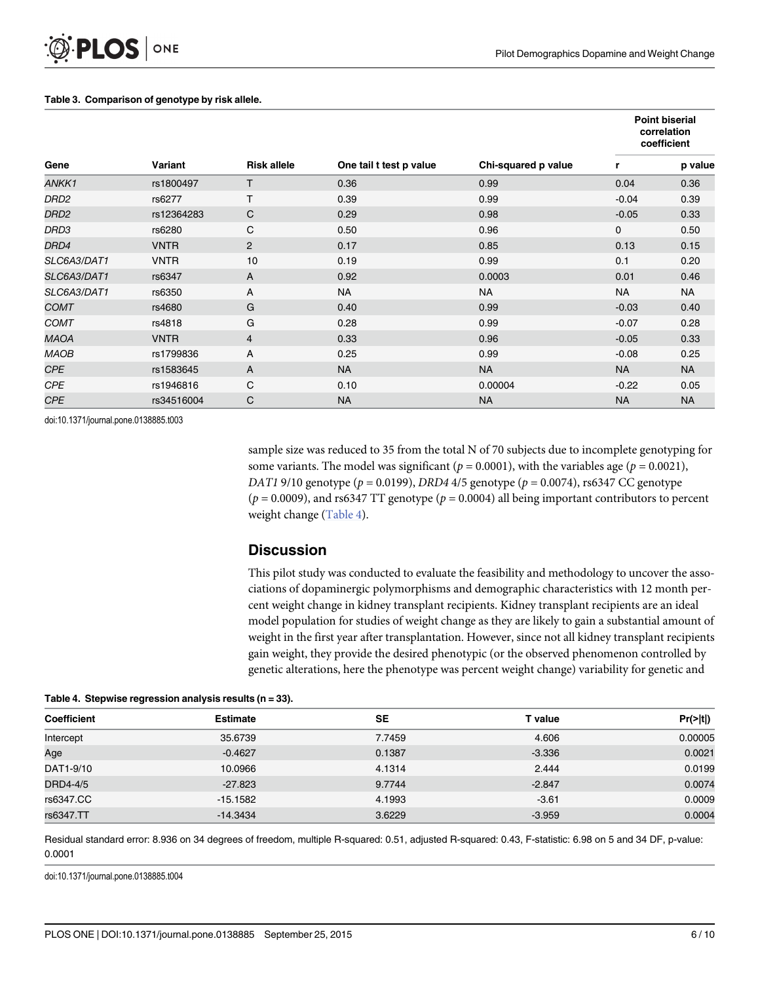#### [Table 3.](#page-4-0) Comparison of genotype by risk allele.

<span id="page-5-0"></span>**PLOS I** 

ONE

|                  |             |                    |                         |                     | <b>Point biserial</b><br>correlation<br>coefficient |           |
|------------------|-------------|--------------------|-------------------------|---------------------|-----------------------------------------------------|-----------|
| Gene             | Variant     | <b>Risk allele</b> | One tail t test p value | Chi-squared p value | r                                                   | p value   |
| ANKK1            | rs1800497   | T.                 | 0.36                    | 0.99                | 0.04                                                | 0.36      |
| DRD <sub>2</sub> | rs6277      | T.                 | 0.39                    | 0.99                | $-0.04$                                             | 0.39      |
| DRD <sub>2</sub> | rs12364283  | C                  | 0.29                    | 0.98                | $-0.05$                                             | 0.33      |
| DRD3             | rs6280      | C                  | 0.50                    | 0.96                | $\mathbf 0$                                         | 0.50      |
| DRD4             | <b>VNTR</b> | $\overline{2}$     | 0.17                    | 0.85                | 0.13                                                | 0.15      |
| SLC6A3/DAT1      | <b>VNTR</b> | 10                 | 0.19                    | 0.99                | 0.1                                                 | 0.20      |
| SLC6A3/DAT1      | rs6347      | A                  | 0.92                    | 0.0003              | 0.01                                                | 0.46      |
| SLC6A3/DAT1      | rs6350      | A                  | <b>NA</b>               | <b>NA</b>           | <b>NA</b>                                           | <b>NA</b> |
| <b>COMT</b>      | rs4680      | G                  | 0.40                    | 0.99                | $-0.03$                                             | 0.40      |
| <b>COMT</b>      | rs4818      | G                  | 0.28                    | 0.99                | $-0.07$                                             | 0.28      |
| <b>MAOA</b>      | <b>VNTR</b> | $\overline{4}$     | 0.33                    | 0.96                | $-0.05$                                             | 0.33      |
| <b>MAOB</b>      | rs1799836   | Α                  | 0.25                    | 0.99                | $-0.08$                                             | 0.25      |
| <b>CPE</b>       | rs1583645   | $\mathsf{A}$       | <b>NA</b>               | <b>NA</b>           | <b>NA</b>                                           | <b>NA</b> |
| <b>CPE</b>       | rs1946816   | C                  | 0.10                    | 0.00004             | $-0.22$                                             | 0.05      |
| <b>CPE</b>       | rs34516004  | C                  | <b>NA</b>               | <b>NA</b>           | <b>NA</b>                                           | <b>NA</b> |

doi:10.1371/journal.pone.0138885.t003

sample size was reduced to 35 from the total N of 70 subjects due to incomplete genotyping for some variants. The model was significant ( $p = 0.0001$ ), with the variables age ( $p = 0.0021$ ), DAT1 9/10 genotype ( $p = 0.0199$ ), DRD4 4/5 genotype ( $p = 0.0074$ ), rs6347 CC genotype ( $p = 0.0009$ ), and rs6347 TT genotype ( $p = 0.0004$ ) all being important contributors to percent weight change (Table 4).

## **Discussion**

This pilot study was conducted to evaluate the feasibility and methodology to uncover the associations of dopaminergic polymorphisms and demographic characteristics with 12 month percent weight change in kidney transplant recipients. Kidney transplant recipients are an ideal model population for studies of weight change as they are likely to gain a substantial amount of weight in the first year after transplantation. However, since not all kidney transplant recipients gain weight, they provide the desired phenotypic (or the observed phenomenon controlled by genetic alterations, here the phenotype was percent weight change) variability for genetic and

|  |  | Table 4. Stepwise regression analysis results (n = 33). |  |  |  |
|--|--|---------------------------------------------------------|--|--|--|
|--|--|---------------------------------------------------------|--|--|--|

| <b>Coefficient</b> | <b>Estimate</b> | <b>SE</b> | T value  | $Pr(>\vert t \vert)$ |
|--------------------|-----------------|-----------|----------|----------------------|
| Intercept          | 35.6739         | 7.7459    | 4.606    | 0.00005              |
| Age                | $-0.4627$       | 0.1387    | $-3.336$ | 0.0021               |
| DAT1-9/10          | 10.0966         | 4.1314    | 2.444    | 0.0199               |
| DRD4-4/5           | $-27.823$       | 9.7744    | $-2.847$ | 0.0074               |
| rs6347.CC          | $-15.1582$      | 4.1993    | $-3.61$  | 0.0009               |
| rs6347.TT          | $-14.3434$      | 3.6229    | $-3.959$ | 0.0004               |

Residual standard error: 8.936 on 34 degrees of freedom, multiple R-squared: 0.51, adjusted R-squared: 0.43, F-statistic: 6.98 on 5 and 34 DF, p-value: 0.0001

doi:10.1371/journal.pone.0138885.t004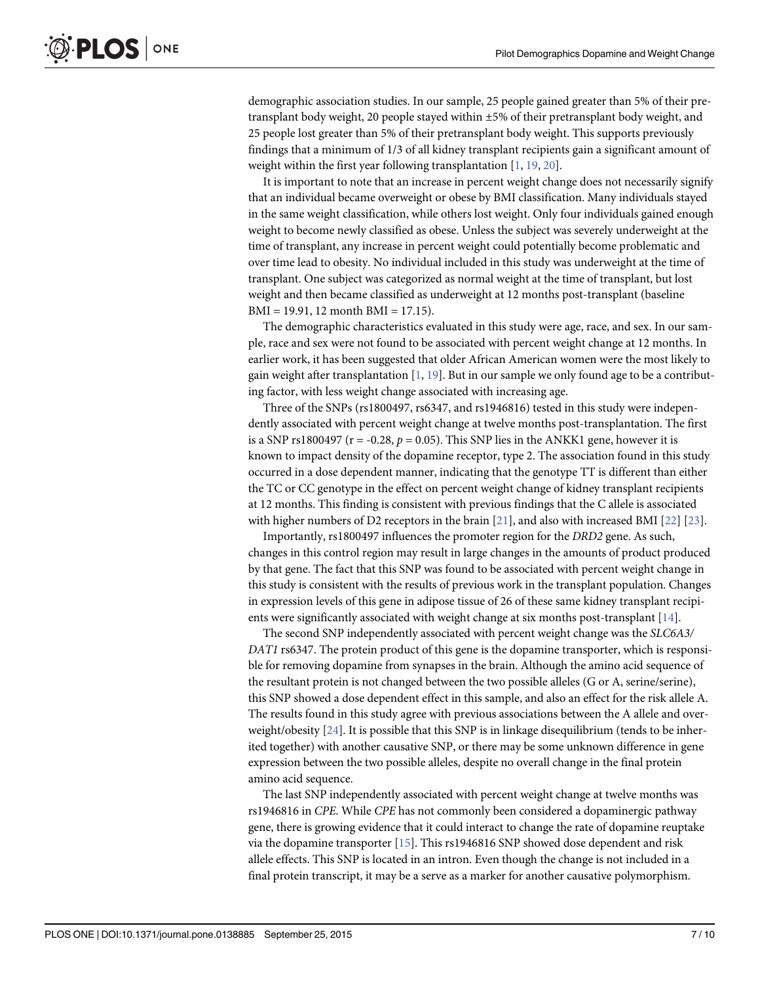<span id="page-6-0"></span>demographic association studies. In our sample, 25 people gained greater than 5% of their pretransplant body weight, 20 people stayed within ±5% of their pretransplant body weight, and 25 people lost greater than 5% of their pretransplant body weight. This supports previously findings that a minimum of 1/3 of all kidney transplant recipients gain a significant amount of weight within the first year following transplantation [[1](#page-8-0), [19](#page-9-0), [20](#page-9-0)].

It is important to note that an increase in percent weight change does not necessarily signify that an individual became overweight or obese by BMI classification. Many individuals stayed in the same weight classification, while others lost weight. Only four individuals gained enough weight to become newly classified as obese. Unless the subject was severely underweight at the time of transplant, any increase in percent weight could potentially become problematic and over time lead to obesity. No individual included in this study was underweight at the time of transplant. One subject was categorized as normal weight at the time of transplant, but lost weight and then became classified as underweight at 12 months post-transplant (baseline BMI = 19.91, 12 month BMI = 17.15).

The demographic characteristics evaluated in this study were age, race, and sex. In our sample, race and sex were not found to be associated with percent weight change at 12 months. In earlier work, it has been suggested that older African American women were the most likely to gain weight after transplantation  $[1, 19]$  $[1, 19]$  $[1, 19]$  $[1, 19]$  $[1, 19]$ . But in our sample we only found age to be a contributing factor, with less weight change associated with increasing age.

Three of the SNPs (rs1800497, rs6347, and rs1946816) tested in this study were independently associated with percent weight change at twelve months post-transplantation. The first is a SNP rs1800497 ( $r = -0.28$ ,  $p = 0.05$ ). This SNP lies in the ANKK1 gene, however it is known to impact density of the dopamine receptor, type 2. The association found in this study occurred in a dose dependent manner, indicating that the genotype TT is different than either the TC or CC genotype in the effect on percent weight change of kidney transplant recipients at 12 months. This finding is consistent with previous findings that the C allele is associated with higher numbers of D2 receptors in the brain [\[21\]](#page-9-0), and also with increased BMI [[22](#page-9-0)] [\[23](#page-9-0)].

Importantly, rs1800497 influences the promoter region for the DRD2 gene. As such, changes in this control region may result in large changes in the amounts of product produced by that gene. The fact that this SNP was found to be associated with percent weight change in this study is consistent with the results of previous work in the transplant population. Changes in expression levels of this gene in adipose tissue of 26 of these same kidney transplant recipients were significantly associated with weight change at six months post-transplant  $[14]$  $[14]$  $[14]$ .

The second SNP independently associated with percent weight change was the SLC6A3/ DAT1 rs6347. The protein product of this gene is the dopamine transporter, which is responsible for removing dopamine from synapses in the brain. Although the amino acid sequence of the resultant protein is not changed between the two possible alleles (G or A, serine/serine), this SNP showed a dose dependent effect in this sample, and also an effect for the risk allele A. The results found in this study agree with previous associations between the A allele and overweight/obesity [\[24\]](#page-9-0). It is possible that this SNP is in linkage disequilibrium (tends to be inherited together) with another causative SNP, or there may be some unknown difference in gene expression between the two possible alleles, despite no overall change in the final protein amino acid sequence.

The last SNP independently associated with percent weight change at twelve months was rs1946816 in CPE. While CPE has not commonly been considered a dopaminergic pathway gene, there is growing evidence that it could interact to change the rate of dopamine reuptake via the dopamine transporter [\[15\]](#page-9-0). This rs1946816 SNP showed dose dependent and risk allele effects. This SNP is located in an intron. Even though the change is not included in a final protein transcript, it may be a serve as a marker for another causative polymorphism.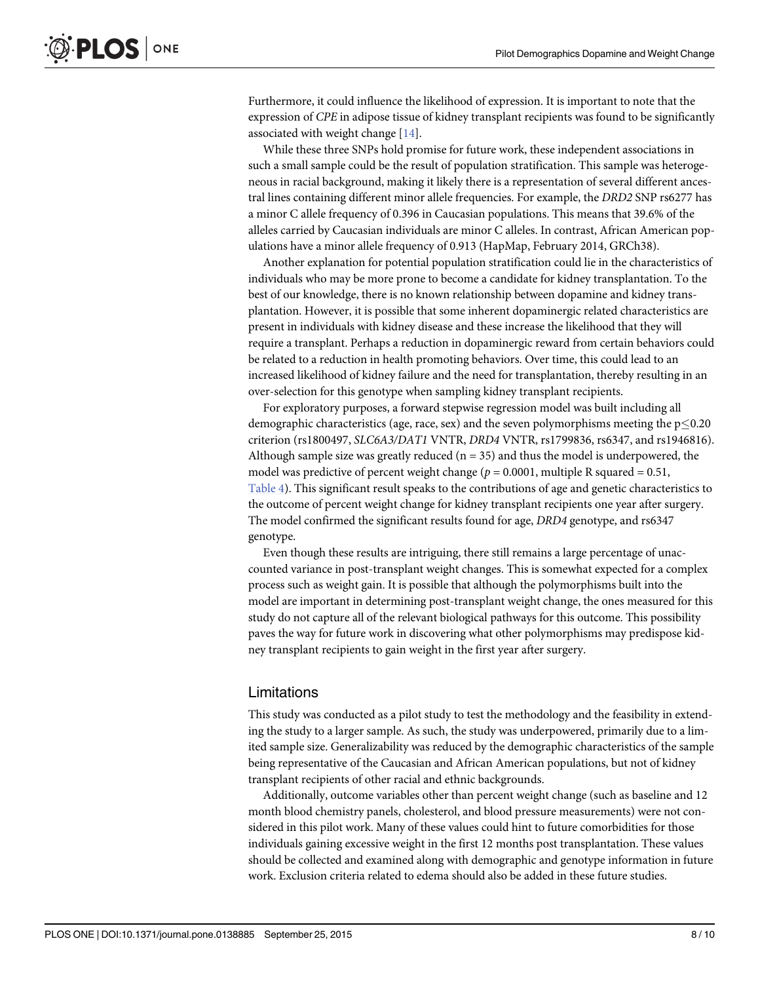Furthermore, it could influence the likelihood of expression. It is important to note that the expression of CPE in adipose tissue of kidney transplant recipients was found to be significantly associated with weight change [[14](#page-9-0)].

While these three SNPs hold promise for future work, these independent associations in such a small sample could be the result of population stratification. This sample was heterogeneous in racial background, making it likely there is a representation of several different ancestral lines containing different minor allele frequencies. For example, the DRD2 SNP rs6277 has a minor C allele frequency of 0.396 in Caucasian populations. This means that 39.6% of the alleles carried by Caucasian individuals are minor C alleles. In contrast, African American populations have a minor allele frequency of 0.913 (HapMap, February 2014, GRCh38).

Another explanation for potential population stratification could lie in the characteristics of individuals who may be more prone to become a candidate for kidney transplantation. To the best of our knowledge, there is no known relationship between dopamine and kidney transplantation. However, it is possible that some inherent dopaminergic related characteristics are present in individuals with kidney disease and these increase the likelihood that they will require a transplant. Perhaps a reduction in dopaminergic reward from certain behaviors could be related to a reduction in health promoting behaviors. Over time, this could lead to an increased likelihood of kidney failure and the need for transplantation, thereby resulting in an over-selection for this genotype when sampling kidney transplant recipients.

For exploratory purposes, a forward stepwise regression model was built including all demographic characteristics (age, race, sex) and the seven polymorphisms meeting the  $p\leq0.20$ criterion (rs1800497, SLC6A3/DAT1 VNTR, DRD4 VNTR, rs1799836, rs6347, and rs1946816). Although sample size was greatly reduced ( $n = 35$ ) and thus the model is underpowered, the model was predictive of percent weight change ( $p = 0.0001$ , multiple R squared = 0.51, [Table 4](#page-5-0)). This significant result speaks to the contributions of age and genetic characteristics to the outcome of percent weight change for kidney transplant recipients one year after surgery. The model confirmed the significant results found for age, DRD4 genotype, and rs6347 genotype.

Even though these results are intriguing, there still remains a large percentage of unaccounted variance in post-transplant weight changes. This is somewhat expected for a complex process such as weight gain. It is possible that although the polymorphisms built into the model are important in determining post-transplant weight change, the ones measured for this study do not capture all of the relevant biological pathways for this outcome. This possibility paves the way for future work in discovering what other polymorphisms may predispose kidney transplant recipients to gain weight in the first year after surgery.

## Limitations

This study was conducted as a pilot study to test the methodology and the feasibility in extending the study to a larger sample. As such, the study was underpowered, primarily due to a limited sample size. Generalizability was reduced by the demographic characteristics of the sample being representative of the Caucasian and African American populations, but not of kidney transplant recipients of other racial and ethnic backgrounds.

Additionally, outcome variables other than percent weight change (such as baseline and 12 month blood chemistry panels, cholesterol, and blood pressure measurements) were not considered in this pilot work. Many of these values could hint to future comorbidities for those individuals gaining excessive weight in the first 12 months post transplantation. These values should be collected and examined along with demographic and genotype information in future work. Exclusion criteria related to edema should also be added in these future studies.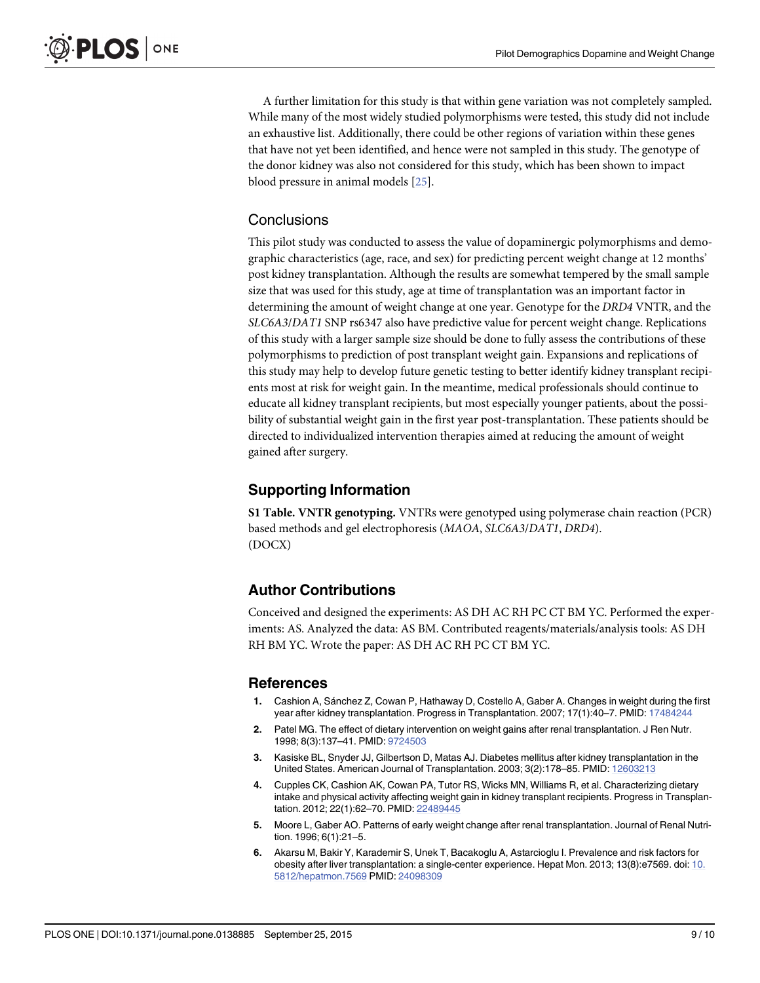<span id="page-8-0"></span>A further limitation for this study is that within gene variation was not completely sampled. While many of the most widely studied polymorphisms were tested, this study did not include an exhaustive list. Additionally, there could be other regions of variation within these genes that have not yet been identified, and hence were not sampled in this study. The genotype of the donor kidney was also not considered for this study, which has been shown to impact blood pressure in animal models [[25](#page-9-0)].

## **Conclusions**

This pilot study was conducted to assess the value of dopaminergic polymorphisms and demographic characteristics (age, race, and sex) for predicting percent weight change at 12 months' post kidney transplantation. Although the results are somewhat tempered by the small sample size that was used for this study, age at time of transplantation was an important factor in determining the amount of weight change at one year. Genotype for the DRD4 VNTR, and the SLC6A3/DAT1 SNP rs6347 also have predictive value for percent weight change. Replications of this study with a larger sample size should be done to fully assess the contributions of these polymorphisms to prediction of post transplant weight gain. Expansions and replications of this study may help to develop future genetic testing to better identify kidney transplant recipients most at risk for weight gain. In the meantime, medical professionals should continue to educate all kidney transplant recipients, but most especially younger patients, about the possibility of substantial weight gain in the first year post-transplantation. These patients should be directed to individualized intervention therapies aimed at reducing the amount of weight gained after surgery.

## Supporting Information

[S1 Table](http://www.plosone.org/article/fetchSingleRepresentation.action?uri=info:doi/10.1371/journal.pone.0138885.s001). VNTR genotyping. VNTRs were genotyped using polymerase chain reaction (PCR) based methods and gel electrophoresis (MAOA, SLC6A3/DAT1, DRD4). (DOCX)

## Author Contributions

Conceived and designed the experiments: AS DH AC RH PC CT BM YC. Performed the experiments: AS. Analyzed the data: AS BM. Contributed reagents/materials/analysis tools: AS DH RH BM YC. Wrote the paper: AS DH AC RH PC CT BM YC.

### References

- [1.](#page-1-0) Cashion A, Sánchez Z, Cowan P, Hathaway D, Costello A, Gaber A. Changes in weight during the first year after kidney transplantation. Progress in Transplantation. 2007; 17(1):40–7. PMID: [17484244](http://www.ncbi.nlm.nih.gov/pubmed/17484244)
- [2.](#page-1-0) Patel MG. The effect of dietary intervention on weight gains after renal transplantation. J Ren Nutr. 1998; 8(3):137–41. PMID: [9724503](http://www.ncbi.nlm.nih.gov/pubmed/9724503)
- [3.](#page-1-0) Kasiske BL, Snyder JJ, Gilbertson D, Matas AJ. Diabetes mellitus after kidney transplantation in the United States. American Journal of Transplantation. 2003; 3(2):178–85. PMID: [12603213](http://www.ncbi.nlm.nih.gov/pubmed/12603213)
- [4.](#page-1-0) Cupples CK, Cashion AK, Cowan PA, Tutor RS, Wicks MN, Williams R, et al. Characterizing dietary intake and physical activity affecting weight gain in kidney transplant recipients. Progress in Transplantation. 2012; 22(1):62–70. PMID: [22489445](http://www.ncbi.nlm.nih.gov/pubmed/22489445)
- [5.](#page-1-0) Moore L, Gaber AO. Patterns of early weight change after renal transplantation. Journal of Renal Nutrition. 1996; 6(1):21–5.
- [6.](#page-1-0) Akarsu M, Bakir Y, Karademir S, Unek T, Bacakoglu A, Astarcioglu I. Prevalence and risk factors for obesity after liver transplantation: a single-center experience. Hepat Mon. 2013; 13(8):e7569. doi: [10.](http://dx.doi.org/10.5812/hepatmon.7569) [5812/hepatmon.7569](http://dx.doi.org/10.5812/hepatmon.7569) PMID: [24098309](http://www.ncbi.nlm.nih.gov/pubmed/24098309)